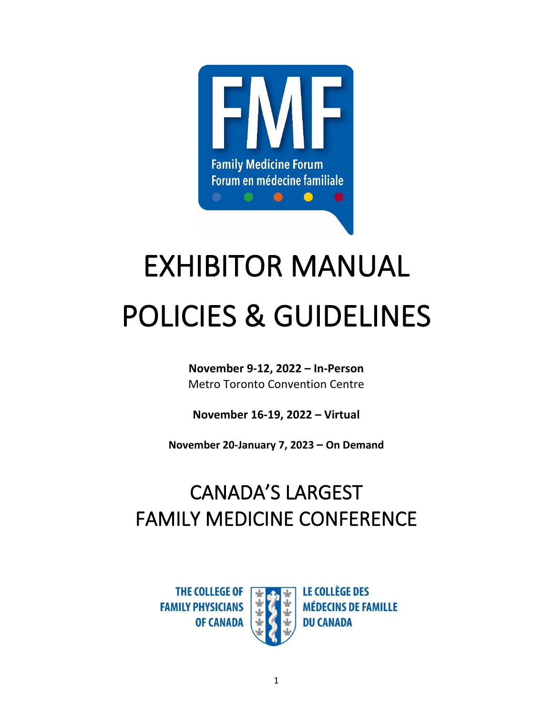

# EXHIBITOR MANUAL POLICIES & GUIDELINES

**November 9-12, 2022 – In-Person** Metro Toronto Convention Centre

**November 16-19, 2022 – Virtual**

**November 20-January 7, 2023 – On Demand**

## CANADA'S LARGEST FAMILY MEDICINE CONFERENCE

**THE COLLEGE OF FAMILY PHYSICIANS OF CANADA** 



**LE COLLÈGE DES MÉDECINS DE FAMILLE DU CANADA**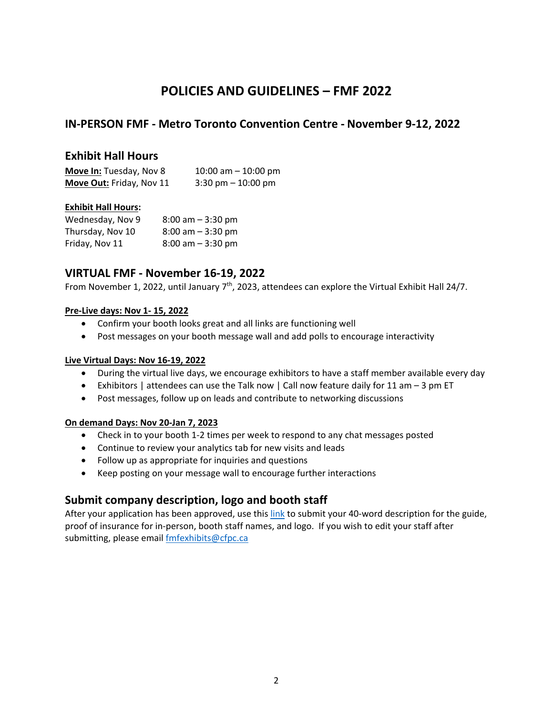## **POLICIES AND GUIDELINES – FMF 2022**

## **IN-PERSON FMF - Metro Toronto Convention Centre - November 9-12, 2022**

## **Exhibit Hall Hours**

| Move In: Tuesday, Nov 8  | 10:00 am $-$ 10:00 pm |
|--------------------------|-----------------------|
| Move Out: Friday, Nov 11 | $3:30$ pm $-10:00$ pm |

## **Exhibit Hall Hours:**

| Wednesday, Nov 9 | $8:00$ am $-3:30$ pm |
|------------------|----------------------|
| Thursday, Nov 10 | $8:00$ am $-3:30$ pm |
| Friday, Nov 11   | $8:00$ am $-3:30$ pm |

## **VIRTUAL FMF - November 16-19, 2022**

From November 1, 2022, until January  $7<sup>th</sup>$ , 2023, attendees can explore the Virtual Exhibit Hall 24/7.

#### **Pre-Live days: Nov 1- 15, 2022**

- Confirm your booth looks great and all links are functioning well
- Post messages on your booth message wall and add polls to encourage interactivity

### **Live Virtual Days: Nov 16-19, 2022**

- During the virtual live days, we encourage exhibitors to have a staff member available every day
- Exhibitors | attendees can use the Talk now | Call now feature daily for 11 am 3 pm ET
- Post messages, follow up on leads and contribute to networking discussions

#### **On demand Days: Nov 20-Jan 7, 2023**

- Check in to your booth 1-2 times per week to respond to any chat messages posted
- Continue to review your analytics tab for new visits and leads
- Follow up as appropriate for inquiries and questions
- Keep posting on your message wall to encourage further interactions

## **Submit company description, logo and booth staff**

After your application has been approved, use thi[s link](https://survey.alchemer-ca.com/s3/50130633/2022-FMF-Exhibit-Profile-Collection) to submit your 40-word description for the guide, proof of insurance for in-person, booth staff names, and logo. If you wish to edit your staff after submitting, please emai[l fmfexhibits@cfpc.ca](mailto:fmfexhibits@cfpc.ca)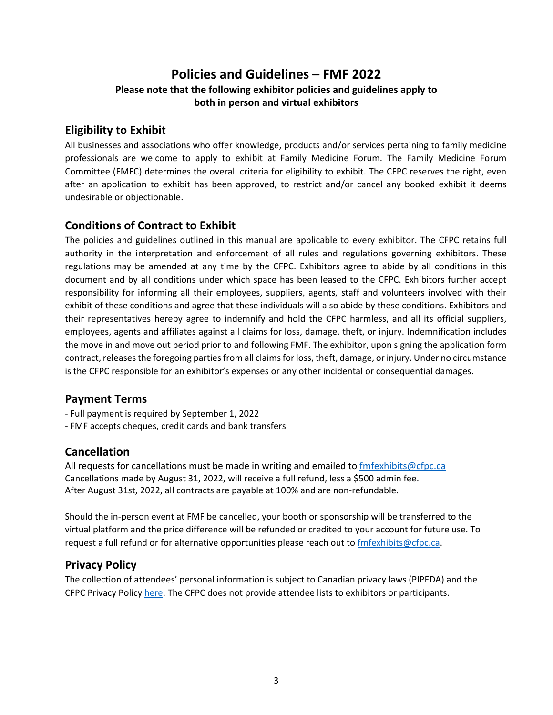## **Policies and Guidelines – FMF 2022 Please note that the following exhibitor policies and guidelines apply to both in person and virtual exhibitors**

## **Eligibility to Exhibit**

All businesses and associations who offer knowledge, products and/or services pertaining to family medicine professionals are welcome to apply to exhibit at Family Medicine Forum. The Family Medicine Forum Committee (FMFC) determines the overall criteria for eligibility to exhibit. The CFPC reserves the right, even after an application to exhibit has been approved, to restrict and/or cancel any booked exhibit it deems undesirable or objectionable.

## **Conditions of Contract to Exhibit**

The policies and guidelines outlined in this manual are applicable to every exhibitor. The CFPC retains full authority in the interpretation and enforcement of all rules and regulations governing exhibitors. These regulations may be amended at any time by the CFPC. Exhibitors agree to abide by all conditions in this document and by all conditions under which space has been leased to the CFPC. Exhibitors further accept responsibility for informing all their employees, suppliers, agents, staff and volunteers involved with their exhibit of these conditions and agree that these individuals will also abide by these conditions. Exhibitors and their representatives hereby agree to indemnify and hold the CFPC harmless, and all its official suppliers, employees, agents and affiliates against all claims for loss, damage, theft, or injury. Indemnification includes the move in and move out period prior to and following FMF. The exhibitor, upon signing the application form contract, releases the foregoing parties from all claims for loss, theft, damage, or injury. Under no circumstance is the CFPC responsible for an exhibitor's expenses or any other incidental or consequential damages.

## **Payment Terms**

- Full payment is required by September 1, 2022
- FMF accepts cheques, credit cards and bank transfers

## **Cancellation**

All requests for cancellations must be made in writing and emailed to  $\frac{f_m f(x)}{g_c f_p c_c}$ Cancellations made by August 31, 2022, will receive a full refund, less a \$500 admin fee. After August 31st, 2022, all contracts are payable at 100% and are non-refundable.

Should the in-person event at FMF be cancelled, your booth or sponsorship will be transferred to the virtual platform and the price difference will be refunded or credited to your account for future use. To request a full refund or for alternative opportunities please reach out to [fmfexhibits@cfpc.ca.](mailto:fmfexhibits@cfpc.ca)

## **Privacy Policy**

The collection of attendees' personal information is subject to Canadian privacy laws (PIPEDA) and the CFPC Privacy Policy [here.](https://www.cfpc.ca/en/privacy-policy) The CFPC does not provide attendee lists to exhibitors or participants.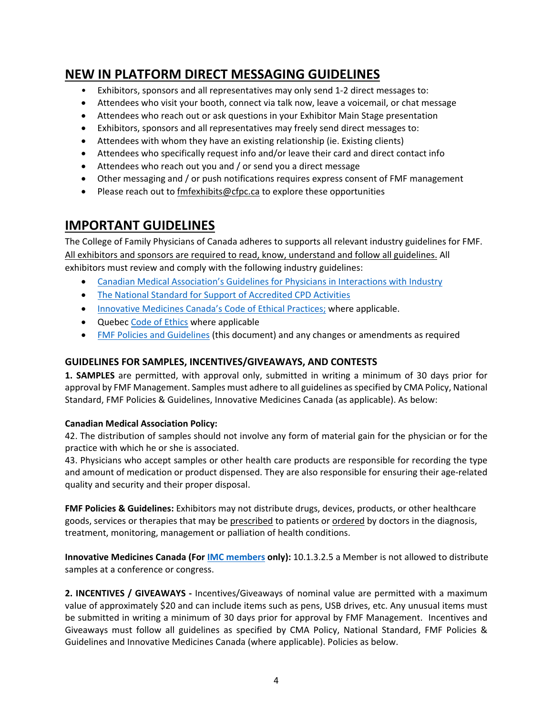## **NEW IN PLATFORM DIRECT MESSAGING GUIDELINES**

- Exhibitors, sponsors and all representatives may only send 1-2 direct messages to:
- Attendees who visit your booth, connect via talk now, leave a voicemail, or chat message
- Attendees who reach out or ask questions in your Exhibitor Main Stage presentation
- Exhibitors, sponsors and all representatives may freely send direct messages to:
- Attendees with whom they have an existing relationship (ie. Existing clients)
- Attendees who specifically request info and/or leave their card and direct contact info
- Attendees who reach out you and / or send you a direct message
- Other messaging and / or push notifications requires express consent of FMF management
- Please reach out to [fmfexhibits@cfpc.ca](mailto:fmfexhibits@cfpc.ca) to explore these opportunities

## **IMPORTANT GUIDELINES**

The College of Family Physicians of Canada adheres to supports all relevant industry guidelines for FMF. All exhibitors and sponsors are required to read, know, understand and follow all guidelines. All exhibitors must review and comply with the following industry guidelines:

- [Canadian Medical Association's Guidelines for Physicians in Interactions with Industry](https://policybase.cma.ca/link/policy14454#_ga=2.248113859.530334085.1649259537-1868065492.1635546158)
- [The National Standard for Support of Accredited CPD Activities](http://www.cfpc.ca/uploadedFiles/CPD/National%20Standard%20for%20Support%20of%20Accredited%20CPD%20Activities%20FINAL%20ver%2023-1.pdf)
- [Innovative Medicines Canada's Code of Ethical Practices;](http://innovativemedicines.ca/ethics/code-of-ethics/) where applicable.
- Quebec [Code of Ethics w](http://cqdpcm.ca/wp-content/uploads/2020/09/CODE-ETHIQUE_CQDPCM_EN_VF-rev2020.pdf)here applicable
- [FMF Policies and Guidelines](https://fmf.cfpc.ca/exhibitors/) (this document) and any changes or amendments as required

## **GUIDELINES FOR SAMPLES, INCENTIVES/GIVEAWAYS, AND CONTESTS**

**1. SAMPLES** are permitted, with approval only, submitted in writing a minimum of 30 days prior for approval by FMF Management. Samples must adhere to all guidelines as specified b[y CMA Policy,](https://policybase.cma.ca/link/policy14454#_ga=2.248113859.530334085.1649259537-1868065492.1635546158) [National](http://www.cfpc.ca/uploadedFiles/CPD/National%20Standard%20for%20Support%20of%20Accredited%20CPD%20Activities%20FINAL%20ver%2023-1.pdf)  [Standard,](http://www.cfpc.ca/uploadedFiles/CPD/National%20Standard%20for%20Support%20of%20Accredited%20CPD%20Activities%20FINAL%20ver%2023-1.pdf) [FMF Policies & Guidelines,](https://fmf.cfpc.ca/exhibitors/) [Innovative Medicines Canada](http://innovativemedicines.ca/ethics/code-of-ethics/) (as applicable). As below:

## **Canadian Medical Association Policy:**

42. The distribution of samples should not involve any form of material gain for the physician or for the practice with which he or she is associated.

43. Physicians who accept samples or other health care products are responsible for recording the type and amount of medication or product dispensed. They are also responsible for ensuring their age-related quality and security and their proper disposal.

**FMF Policies & Guidelines:** Exhibitors may not distribute drugs, devices, products, or other healthcare goods, services or therapies that may be prescribed to patients or ordered by doctors in the diagnosis, treatment, monitoring, management or palliation of health conditions.

**Innovative Medicines Canada (Fo[r IMC members](http://innovativemedicines.ca/about/member-companies/) only):** 10.1.3.2.5 a Member is not allowed to distribute samples at a conference or congress.

**2. INCENTIVES / GIVEAWAYS -** Incentives/Giveaways of nominal value are permitted with a maximum value of approximately \$20 and can include items such as pens, USB drives, etc. Any unusual items must be submitted in writing a minimum of 30 days prior for approval by FMF Management. Incentives and Giveaways must follow all guidelines as specified by [CMA Policy,](https://policybase.cma.ca/link/policy14454#_ga=2.248113859.530334085.1649259537-1868065492.1635546158) [National Standard,](http://www.cfpc.ca/uploadedFiles/CPD/National%20Standard%20for%20Support%20of%20Accredited%20CPD%20Activities%20FINAL%20ver%2023-1.pdf) [FMF Policies &](https://fmf.cfpc.ca/exhibitors/)  [Guidelines](https://fmf.cfpc.ca/exhibitors/) and [Innovative Medicines Canada](http://innovativemedicines.ca/ethics/code-of-ethics/) (where applicable). Policies as below.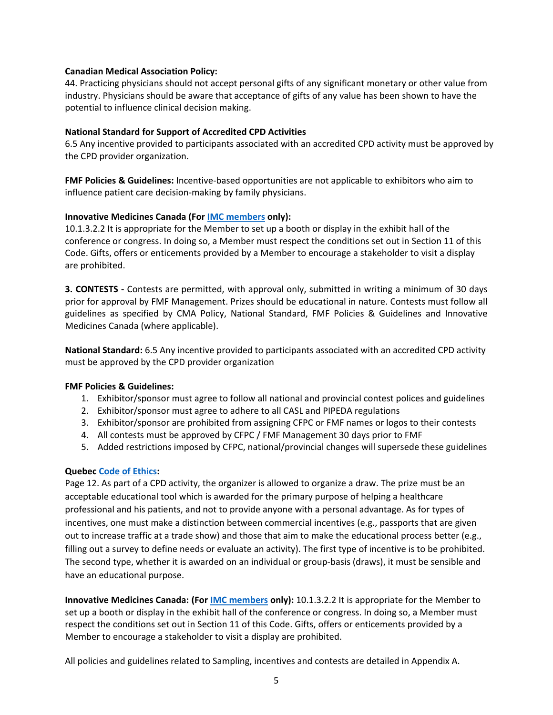#### **Canadian Medical Association Policy:**

44. Practicing physicians should not accept personal gifts of any significant monetary or other value from industry. Physicians should be aware that acceptance of gifts of any value has been shown to have the potential to influence clinical decision making.

#### **National Standard for Support of Accredited CPD Activities**

6.5 Any incentive provided to participants associated with an accredited CPD activity must be approved by the CPD provider organization.

**FMF Policies & Guidelines:** Incentive-based opportunities are not applicable to exhibitors who aim to influence patient care decision-making by family physicians.

#### **Innovative Medicines Canada (Fo[r IMC members](http://innovativemedicines.ca/about/member-companies/) only):**

10.1.3.2.2 It is appropriate for the Member to set up a booth or display in the exhibit hall of the conference or congress. In doing so, a Member must respect the conditions set out in Section 11 of this Code. Gifts, offers or enticements provided by a Member to encourage a stakeholder to visit a display are prohibited.

**3. CONTESTS -** Contests are permitted, with approval only, submitted in writing a minimum of 30 days prior for approval by FMF Management. Prizes should be educational in nature. Contests must follow all guidelines as specified by [CMA Policy,](https://policybase.cma.ca/link/policy14454#_ga=2.248113859.530334085.1649259537-1868065492.1635546158) [National Standard,](http://www.cfpc.ca/uploadedFiles/CPD/National%20Standard%20for%20Support%20of%20Accredited%20CPD%20Activities%20FINAL%20ver%2023-1.pdf) [FMF Policies & Guidelines](https://fmf.cfpc.ca/wp-content/uploads/2021/10/Virtual-FMF-2021-Policies-and-Guidelines.pdf) and [Innovative](http://innovativemedicines.ca/ethics/code-of-ethics/)  [Medicines Canada](http://innovativemedicines.ca/ethics/code-of-ethics/) (where applicable).

**National Standard:** 6.5 Any incentive provided to participants associated with an accredited CPD activity must be approved by the CPD provider organization

#### **FMF Policies & Guidelines:**

- 1. Exhibitor/sponsor must agree to follow all national and provincial contest polices and guidelines
- 2. Exhibitor/sponsor must agree to adhere to all CASL and PIPEDA regulations
- 3. Exhibitor/sponsor are prohibited from assigning CFPC or FMF names or logos to their contests
- 4. All contests must be approved by CFPC / FMF Management 30 days prior to FMF
- 5. Added restrictions imposed by CFPC, national/provincial changes will supersede these guidelines

#### **Quebec [Code of Ethics:](http://cqdpcm.ca/wp-content/uploads/2020/09/CODE-ETHIQUE_CQDPCM_EN_VF-rev2020.pdf)**

Page 12. As part of a CPD activity, the organizer is allowed to organize a draw. The prize must be an acceptable educational tool which is awarded for the primary purpose of helping a healthcare professional and his patients, and not to provide anyone with a personal advantage. As for types of incentives, one must make a distinction between commercial incentives (e.g., passports that are given out to increase traffic at a trade show) and those that aim to make the educational process better (e.g., filling out a survey to define needs or evaluate an activity). The first type of incentive is to be prohibited. The second type, whether it is awarded on an individual or group-basis (draws), it must be sensible and have an educational purpose.

**Innovative Medicines Canada: (For [IMC members](http://innovativemedicines.ca/about/member-companies/) only):** 10.1.3.2.2 It is appropriate for the Member to set up a booth or display in the exhibit hall of the conference or congress. In doing so, a Member must respect the conditions set out in Section 11 of this Code. Gifts, offers or enticements provided by a Member to encourage a stakeholder to visit a display are prohibited.

All policies and guidelines related to Sampling, incentives and contests are detailed in Appendix A.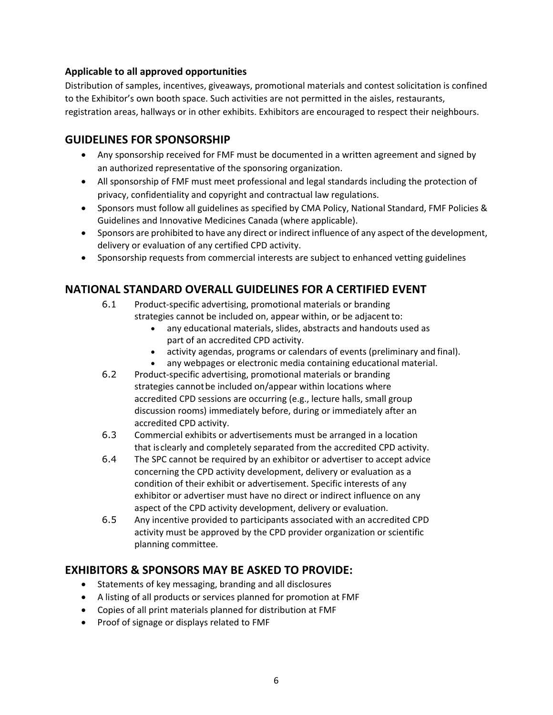## **Applicable to all approved opportunities**

Distribution of samples, incentives, giveaways, promotional materials and contest solicitation is confined to the Exhibitor's own booth space. Such activities are not permitted in the aisles, restaurants, registration areas, hallways or in other exhibits. Exhibitors are encouraged to respect their neighbours.

## **GUIDELINES FOR SPONSORSHIP**

- Any sponsorship received for FMF must be documented in a written agreement and signed by an authorized representative of the sponsoring organization.
- All sponsorship of FMF must meet professional and legal standards including the protection of privacy, confidentiality and copyright and contractual law regulations.
- Sponsors must follow all guidelines as specified b[y CMA Policy,](https://policybase.cma.ca/link/policy14454#_ga=2.248113859.530334085.1649259537-1868065492.1635546158) [National Standard,](http://www.cfpc.ca/uploadedFiles/CPD/National%20Standard%20for%20Support%20of%20Accredited%20CPD%20Activities%20FINAL%20ver%2023-1.pdf) FMF Policies & Guidelines and [Innovative Medicines Canada](http://innovativemedicines.ca/ethics/code-of-ethics/) (where applicable).
- Sponsors are prohibited to have any direct or indirect influence of any aspect of the development, delivery or evaluation of any certified CPD activity.
- Sponsorship requests from commercial interests are subject to enhanced vetting guidelines

## **NATIONAL STANDARD OVERALL GUIDELINES FOR A CERTIFIED EVENT**

- 6.1 Product-specific advertising, promotional materials or branding strategies cannot be included on, appear within, or be adjacent to:
	- any educational materials, slides, abstracts and handouts used as part of an accredited CPD activity.
	- activity agendas, programs or calendars of events (preliminary and final).
	- any webpages or electronic media containing educational material.
- 6.2 Product-specific advertising, promotional materials or branding strategies cannot be included on/appear within locations where accredited CPD sessions are occurring (e.g., lecture halls, small group discussion rooms) immediately before, during or immediately after an accredited CPD activity.
- 6.3 Commercial exhibits or advertisements must be arranged in a location that isclearly and completely separated from the accredited CPD activity.
- 6.4 The SPC cannot be required by an exhibitor or advertiser to accept advice concerning the CPD activity development, delivery or evaluation as a condition of their exhibit or advertisement. Specific interests of any exhibitor or advertiser must have no direct or indirect influence on any aspect of the CPD activity development, delivery or evaluation.
- 6.5 Any incentive provided to participants associated with an accredited CPD activity must be approved by the CPD provider organization or scientific planning committee.

## **EXHIBITORS & SPONSORS MAY BE ASKED TO PROVIDE:**

- Statements of key messaging, branding and all disclosures
- A listing of all products or services planned for promotion at FMF
- Copies of all print materials planned for distribution at FMF
- Proof of signage or displays related to FMF